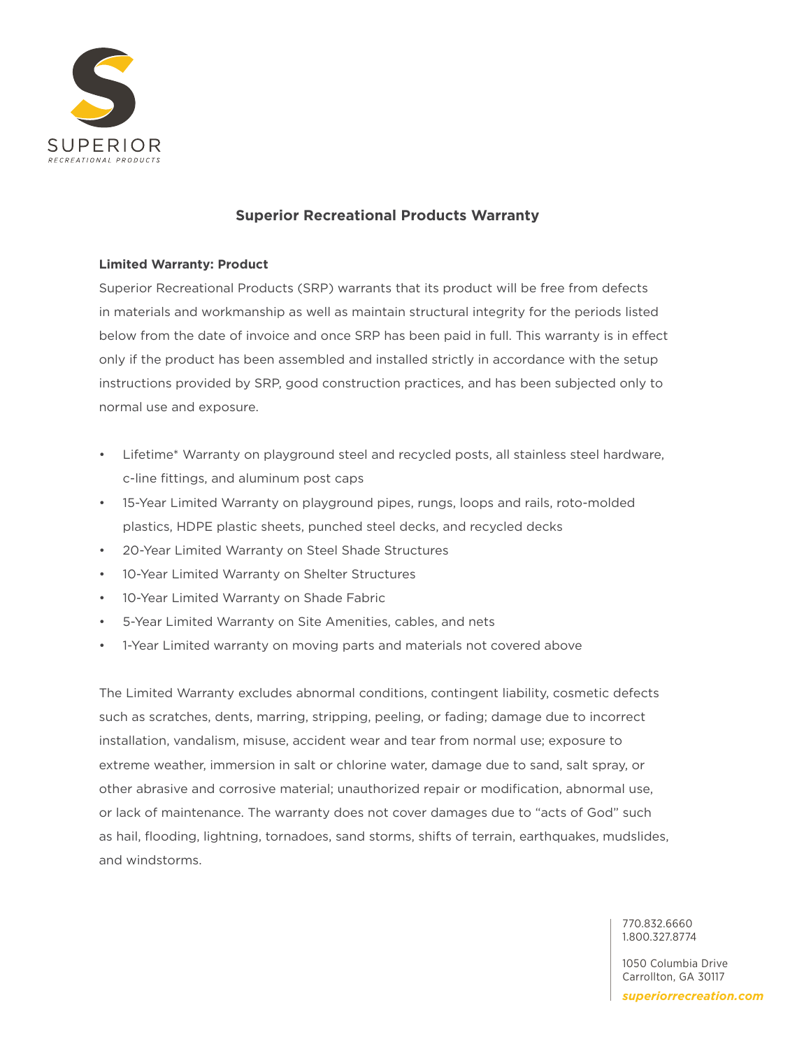

# **Superior Recreational Products Warranty**

## **Limited Warranty: Product**

Superior Recreational Products (SRP) warrants that its product will be free from defects in materials and workmanship as well as maintain structural integrity for the periods listed below from the date of invoice and once SRP has been paid in full. This warranty is in effect only if the product has been assembled and installed strictly in accordance with the setup instructions provided by SRP, good construction practices, and has been subjected only to normal use and exposure.

- Lifetime\* Warranty on playground steel and recycled posts, all stainless steel hardware, c-line fittings, and aluminum post caps
- 15-Year Limited Warranty on playground pipes, rungs, loops and rails, roto-molded plastics, HDPE plastic sheets, punched steel decks, and recycled decks
- 20-Year Limited Warranty on Steel Shade Structures
- 10-Year Limited Warranty on Shelter Structures
- 10-Year Limited Warranty on Shade Fabric
- 5-Year Limited Warranty on Site Amenities, cables, and nets
- 1-Year Limited warranty on moving parts and materials not covered above

The Limited Warranty excludes abnormal conditions, contingent liability, cosmetic defects such as scratches, dents, marring, stripping, peeling, or fading; damage due to incorrect installation, vandalism, misuse, accident wear and tear from normal use; exposure to extreme weather, immersion in salt or chlorine water, damage due to sand, salt spray, or other abrasive and corrosive material; unauthorized repair or modification, abnormal use, or lack of maintenance. The warranty does not cover damages due to "acts of God" such as hail, flooding, lightning, tornadoes, sand storms, shifts of terrain, earthquakes, mudslides, and windstorms.

> 770.832.6660 1.800.327.8774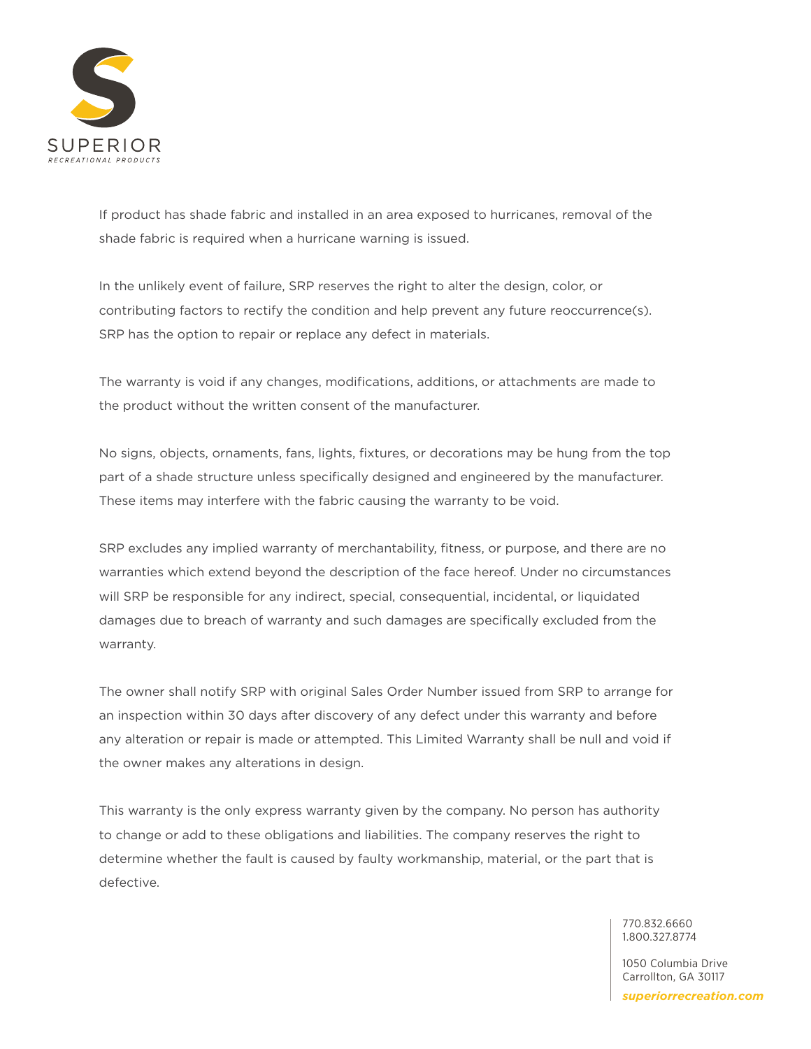

If product has shade fabric and installed in an area exposed to hurricanes, removal of the shade fabric is required when a hurricane warning is issued.

In the unlikely event of failure, SRP reserves the right to alter the design, color, or contributing factors to rectify the condition and help prevent any future reoccurrence(s). SRP has the option to repair or replace any defect in materials.

The warranty is void if any changes, modifications, additions, or attachments are made to the product without the written consent of the manufacturer.

No signs, objects, ornaments, fans, lights, fixtures, or decorations may be hung from the top part of a shade structure unless specifically designed and engineered by the manufacturer. These items may interfere with the fabric causing the warranty to be void.

SRP excludes any implied warranty of merchantability, fitness, or purpose, and there are no warranties which extend beyond the description of the face hereof. Under no circumstances will SRP be responsible for any indirect, special, consequential, incidental, or liquidated damages due to breach of warranty and such damages are specifically excluded from the warranty.

The owner shall notify SRP with original Sales Order Number issued from SRP to arrange for an inspection within 30 days after discovery of any defect under this warranty and before any alteration or repair is made or attempted. This Limited Warranty shall be null and void if the owner makes any alterations in design.

This warranty is the only express warranty given by the company. No person has authority to change or add to these obligations and liabilities. The company reserves the right to determine whether the fault is caused by faulty workmanship, material, or the part that is defective.

> 770.832.6660 1.800.327.8774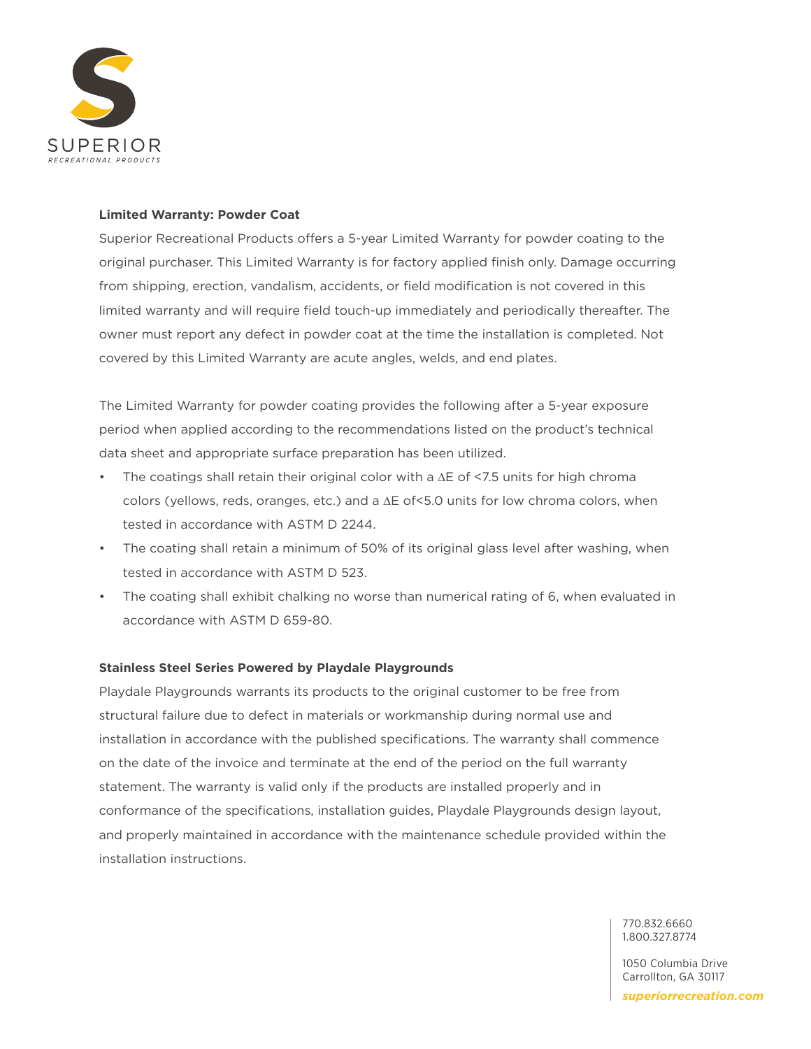

## **Limited Warranty: Powder Coat**

Superior Recreational Products offers a 5-year Limited Warranty for powder coating to the original purchaser. This Limited Warranty is for factory applied finish only. Damage occurring from shipping, erection, vandalism, accidents, or field modification is not covered in this limited warranty and will require field touch-up immediately and periodically thereafter. The owner must report any defect in powder coat at the time the installation is completed. Not covered by this Limited Warranty are acute angles, welds, and end plates.

The Limited Warranty for powder coating provides the following after a 5-year exposure period when applied according to the recommendations listed on the product's technical data sheet and appropriate surface preparation has been utilized.

- The coatings shall retain their original color with a ∆E of <7.5 units for high chroma colors (yellows, reds, oranges, etc.) and a ∆E of<5.0 units for low chroma colors, when tested in accordance with ASTM D 2244.
- The coating shall retain a minimum of 50% of its original glass level after washing, when tested in accordance with ASTM D 523.
- The coating shall exhibit chalking no worse than numerical rating of 6, when evaluated in accordance with ASTM D 659-80.

#### **Stainless Steel Series Powered by Playdale Playgrounds**

Playdale Playgrounds warrants its products to the original customer to be free from structural failure due to defect in materials or workmanship during normal use and installation in accordance with the published specifications. The warranty shall commence on the date of the invoice and terminate at the end of the period on the full warranty statement. The warranty is valid only if the products are installed properly and in conformance of the specifications, installation guides, Playdale Playgrounds design layout, and properly maintained in accordance with the maintenance schedule provided within the installation instructions.

> 770.832.6660 1.800.327.8774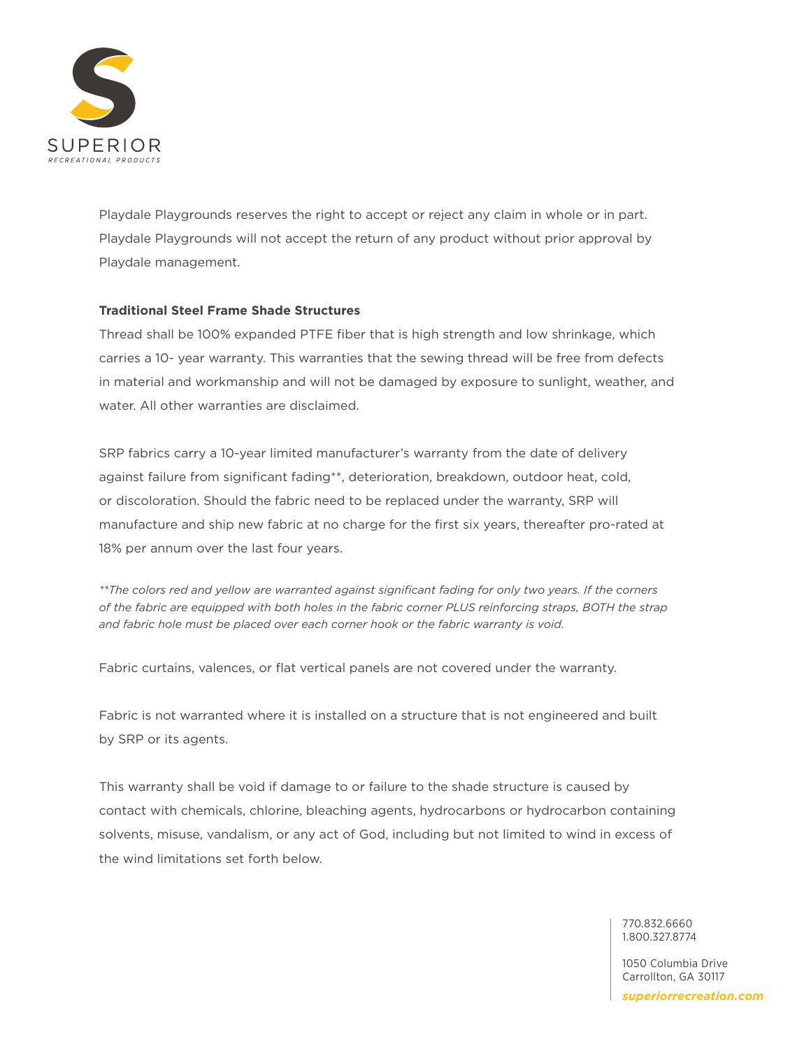

Playdale Playgrounds reserves the right to accept or reject any claim in whole or in part. Playdale Playgrounds will not accept the return of any product without prior approval by Playdale management.

# **Traditional Steel Frame Shade Structures**

Thread shall be 100% expanded PTFE fiber that is high strength and low shrinkage, which carries a 10- year warranty. This warranties that the sewing thread will be free from defects in material and workmanship and will not be damaged by exposure to sunlight, weather, and water. All other warranties are disclaimed.

SRP fabrics carry a 10-year limited manufacturer's warranty from the date of delivery against failure from significant fading\*\*, deterioration, breakdown, outdoor heat, cold, or discoloration. Should the fabric need to be replaced under the warranty, SRP will manufacture and ship new fabric at no charge for the first six years, thereafter pro-rated at 18% per annum over the last four years.

*\*\*The colors red and yellow are warranted against significant fading for only two years. If the corners of the fabric are equipped with both holes in the fabric corner PLUS reinforcing straps, BOTH the strap and fabric hole must be placed over each corner hook or the fabric warranty is void.*

Fabric curtains, valences, or flat vertical panels are not covered under the warranty.

Fabric is not warranted where it is installed on a structure that is not engineered and built by SRP or its agents.

This warranty shall be void if damage to or failure to the shade structure is caused by contact with chemicals, chlorine, bleaching agents, hydrocarbons or hydrocarbon containing solvents, misuse, vandalism, or any act of God, including but not limited to wind in excess of the wind limitations set forth below.

> 770.832.6660 1.800.327.8774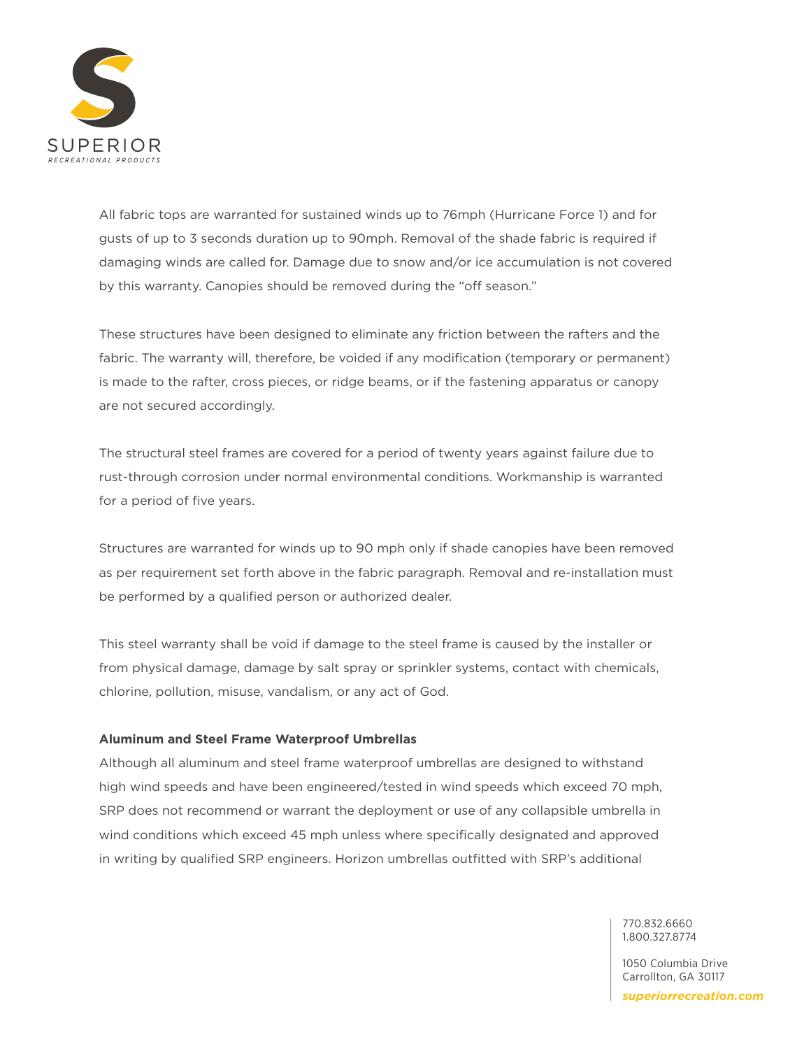

All fabric tops are warranted for sustained winds up to 76mph (Hurricane Force 1) and for gusts of up to 3 seconds duration up to 90mph. Removal of the shade fabric is required if damaging winds are called for. Damage due to snow and/or ice accumulation is not covered by this warranty. Canopies should be removed during the "off season."

These structures have been designed to eliminate any friction between the rafters and the fabric. The warranty will, therefore, be voided if any modification (temporary or permanent) is made to the rafter, cross pieces, or ridge beams, or if the fastening apparatus or canopy are not secured accordingly.

The structural steel frames are covered for a period of twenty years against failure due to rust-through corrosion under normal environmental conditions. Workmanship is warranted for a period of five years.

Structures are warranted for winds up to 90 mph only if shade canopies have been removed as per requirement set forth above in the fabric paragraph. Removal and re-installation must be performed by a qualified person or authorized dealer.

This steel warranty shall be void if damage to the steel frame is caused by the installer or from physical damage, damage by salt spray or sprinkler systems, contact with chemicals, chlorine, pollution, misuse, vandalism, or any act of God.

#### **Aluminum and Steel Frame Waterproof Umbrellas**

Although all aluminum and steel frame waterproof umbrellas are designed to withstand high wind speeds and have been engineered/tested in wind speeds which exceed 70 mph, SRP does not recommend or warrant the deployment or use of any collapsible umbrella in wind conditions which exceed 45 mph unless where specifically designated and approved in writing by qualified SRP engineers. Horizon umbrellas outfitted with SRP's additional

> 770.832.6660 1.800.327.8774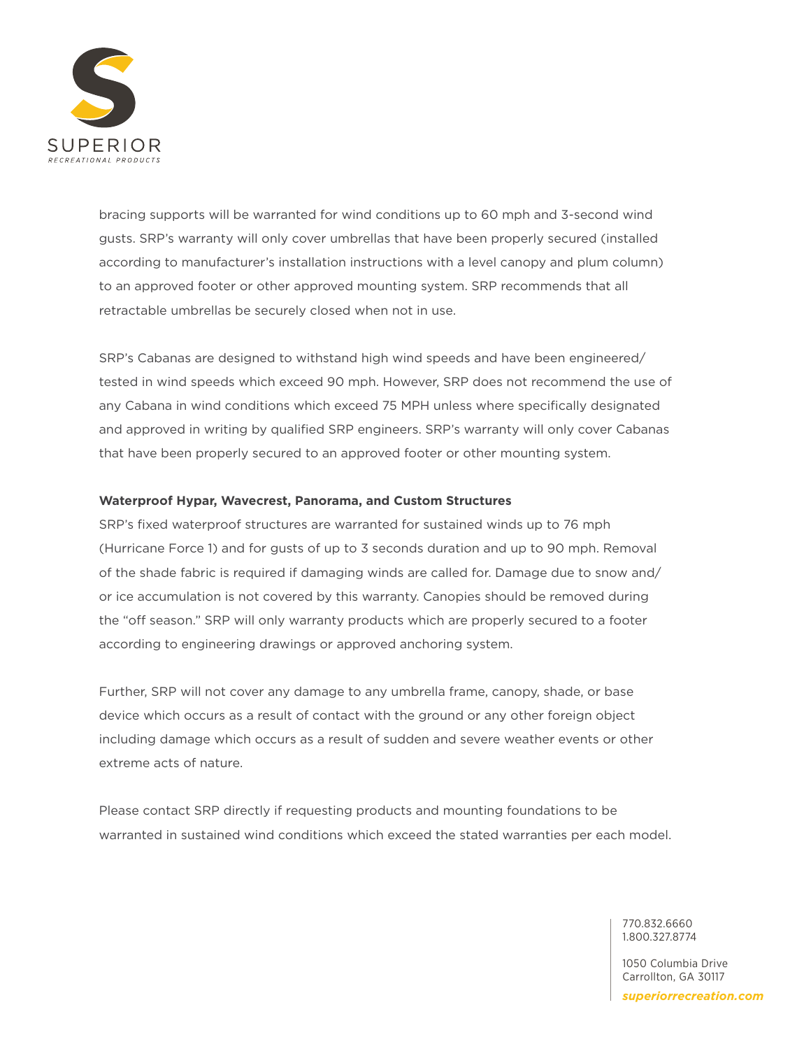

bracing supports will be warranted for wind conditions up to 60 mph and 3-second wind gusts. SRP's warranty will only cover umbrellas that have been properly secured (installed according to manufacturer's installation instructions with a level canopy and plum column) to an approved footer or other approved mounting system. SRP recommends that all retractable umbrellas be securely closed when not in use.

SRP's Cabanas are designed to withstand high wind speeds and have been engineered/ tested in wind speeds which exceed 90 mph. However, SRP does not recommend the use of any Cabana in wind conditions which exceed 75 MPH unless where specifically designated and approved in writing by qualified SRP engineers. SRP's warranty will only cover Cabanas that have been properly secured to an approved footer or other mounting system.

#### **Waterproof Hypar, Wavecrest, Panorama, and Custom Structures**

SRP's fixed waterproof structures are warranted for sustained winds up to 76 mph (Hurricane Force 1) and for gusts of up to 3 seconds duration and up to 90 mph. Removal of the shade fabric is required if damaging winds are called for. Damage due to snow and/ or ice accumulation is not covered by this warranty. Canopies should be removed during the "off season." SRP will only warranty products which are properly secured to a footer according to engineering drawings or approved anchoring system.

Further, SRP will not cover any damage to any umbrella frame, canopy, shade, or base device which occurs as a result of contact with the ground or any other foreign object including damage which occurs as a result of sudden and severe weather events or other extreme acts of nature.

Please contact SRP directly if requesting products and mounting foundations to be warranted in sustained wind conditions which exceed the stated warranties per each model.

> 770.832.6660 1.800.327.8774